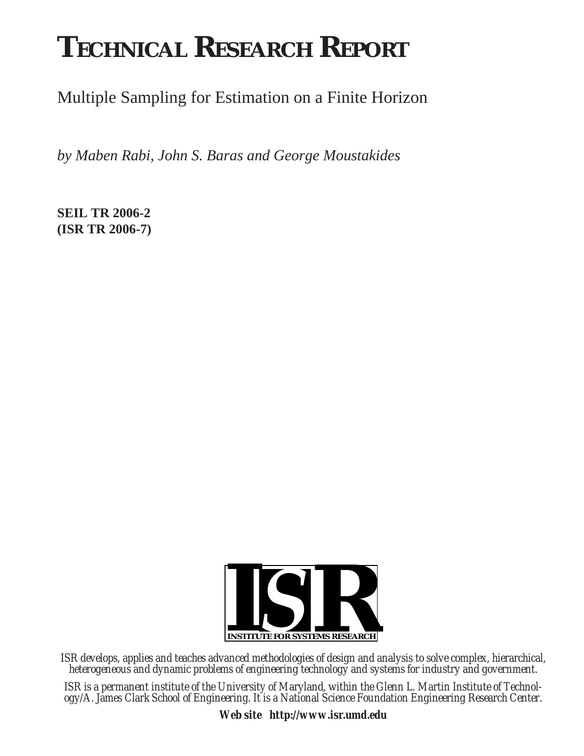# **TECHNICAL RESEARCH REPORT**

Multiple Sampling for Estimation on a Finite Horizon

*by Maben Rabi, John S. Baras and George Moustakides*

**SEIL TR 2006-2 (ISR TR 2006-7)**



*ISR develops, applies and teaches advanced methodologies of design and analysis to solve complex, hierarchical, heterogeneous and dynamic problems of engineering technology and systems for industry and government.*

*ISR is a permanent institute of the University of Maryland, within the Glenn L. Martin Institute of Technology/A. James Clark School of Engineering. It is a National Science Foundation Engineering Research Center.*

*Web site http://www.isr.umd.edu*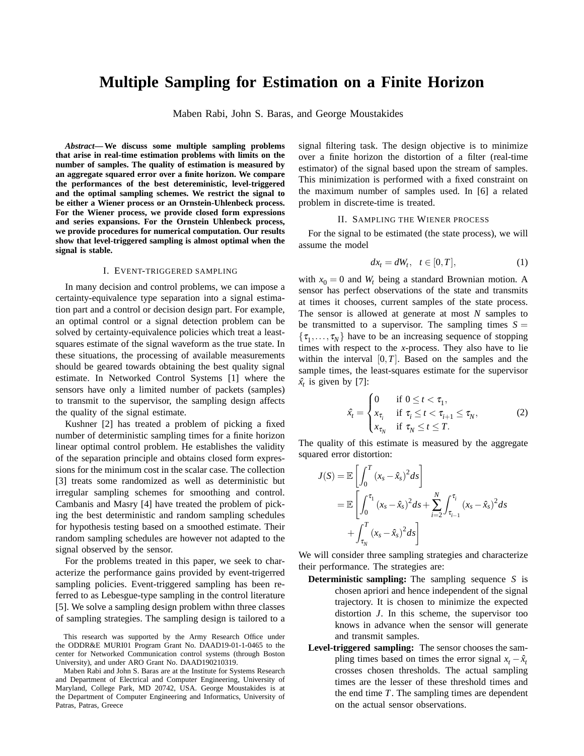# **Multiple Sampling for Estimation on a Finite Horizon**

Maben Rabi, John S. Baras, and George Moustakides

*Abstract***— We discuss some multiple sampling problems that arise in real-time estimation problems with limits on the number of samples. The quality of estimation is measured by an aggregate squared error over a finite horizon. We compare the performances of the best detereministic, level-triggered and the optimal sampling schemes. We restrict the signal to be either a Wiener process or an Ornstein-Uhlenbeck process. For the Wiener process, we provide closed form expressions and series expansions. For the Ornstein Uhlenbeck process, we provide procedures for numerical computation. Our results show that level-triggered sampling is almost optimal when the signal is stable.**

#### I. EVENT-TRIGGERED SAMPLING

In many decision and control problems, we can impose a certainty-equivalence type separation into a signal estimation part and a control or decision design part. For example, an optimal control or a signal detection problem can be solved by certainty-equivalence policies which treat a leastsquares estimate of the signal waveform as the true state. In these situations, the processing of available measurements should be geared towards obtaining the best quality signal estimate. In Networked Control Systems [1] where the sensors have only a limited number of packets (samples) to transmit to the supervisor, the sampling design affects the quality of the signal estimate.

Kushner [2] has treated a problem of picking a fixed number of deterministic sampling times for a finite horizon linear optimal control problem. He establishes the validity of the separation principle and obtains closed form expressions for the minimum cost in the scalar case. The collection [3] treats some randomized as well as deterministic but irregular sampling schemes for smoothing and control. Cambanis and Masry [4] have treated the problem of picking the best deterministic and random sampling schedules for hypothesis testing based on a smoothed estimate. Their random sampling schedules are however not adapted to the signal observed by the sensor.

For the problems treated in this paper, we seek to characterize the performance gains provided by event-trigerred sampling policies. Event-triggered sampling has been referred to as Lebesgue-type sampling in the control literature [5]. We solve a sampling design problem withn three classes of sampling strategies. The sampling design is tailored to a signal filtering task. The design objective is to minimize over a finite horizon the distortion of a filter (real-time estimator) of the signal based upon the stream of samples. This minimization is performed with a fixed constraint on the maximum number of samples used. In [6] a related problem in discrete-time is treated.

# II. SAMPLING THE WIENER PROCESS

For the signal to be estimated (the state process), we will assume the model

$$
dx_t = dW_t, \quad t \in [0, T], \tag{1}
$$

with  $x_0 = 0$  and  $W_t$  being a standard Brownian motion. A sensor has perfect observations of the state and transmits at times it chooses, current samples of the state process. The sensor is allowed at generate at most *N* samples to be transmitted to a supervisor. The sampling times  $S =$  $\{\tau_1,\ldots,\tau_N\}$  have to be an increasing sequence of stopping times with respect to the *x*-process. They also have to lie within the interval  $[0, T]$ . Based on the samples and the sample times, the least-squares estimate for the supervisor  $\hat{x}_t$  is given by [7]:

$$
\hat{x}_t = \begin{cases}\n0 & \text{if } 0 \le t < \tau_1, \\
x_{\tau_i} & \text{if } \tau_i \le t < \tau_{i+1} \le \tau_N, \\
x_{\tau_N} & \text{if } \tau_N \le t \le T.\n\end{cases}
$$
\n(2)

The quality of this estimate is measured by the aggregate squared error distortion:

$$
J(S) = \mathbb{E}\left[\int_0^T (x_s - \hat{x}_s)^2 ds\right]
$$
  
=  $\mathbb{E}\left[\int_0^{\tau_1} (x_s - \hat{x}_s)^2 ds + \sum_{i=2}^N \int_{\tau_{i-1}}^{\tau_i} (x_s - \hat{x}_s)^2 ds\right]$   
+  $\int_{\tau_N}^T (x_s - \hat{x}_s)^2 ds\right]$ 

We will consider three sampling strategies and characterize their performance. The strategies are:

- **Deterministic sampling:** The sampling sequence *S* is chosen apriori and hence independent of the signal trajectory. It is chosen to minimize the expected distortion *J*. In this scheme, the supervisor too knows in advance when the sensor will generate and transmit samples.
- **Level-triggered sampling:** The sensor chooses the sampling times based on times the error signal  $x_t - \hat{x}_t$ crosses chosen thresholds. The actual sampling times are the lesser of these threshold times and the end time *T*. The sampling times are dependent on the actual sensor observations.

This research was supported by the Army Research Office under the ODDR&E MURI01 Program Grant No. DAAD19-01-1-0465 to the center for Networked Communication control systems (through Boston University), and under ARO Grant No. DAAD190210319.

Maben Rabi and John S. Baras are at the Institute for Systems Research and Department of Electrical and Computer Engineering, University of Maryland, College Park, MD 20742, USA. George Moustakides is at the Department of Computer Engineering and Informatics, University of Patras, Patras, Greece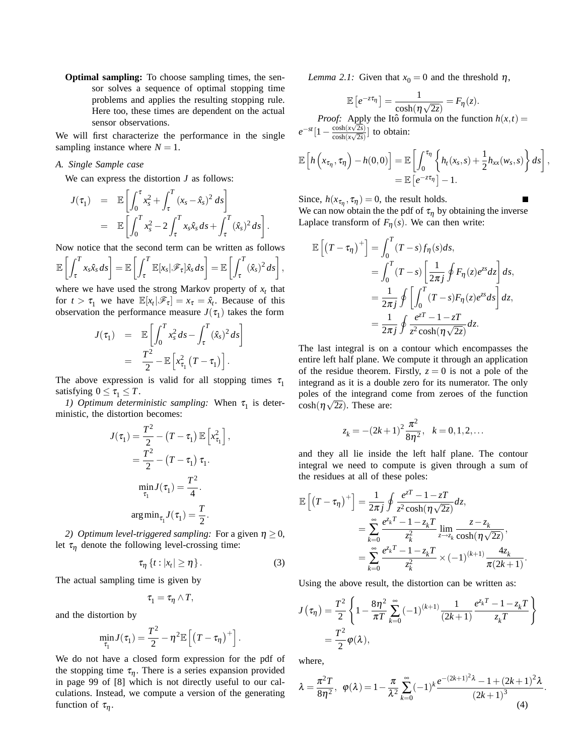**Optimal sampling:** To choose sampling times, the sensor solves a sequence of optimal stopping time problems and applies the resulting stopping rule. Here too, these times are dependent on the actual sensor observations.

We will first characterize the performance in the single sampling instance where  $N = 1$ .

# *A. Single Sample case*

We can express the distortion *J* as follows:

$$
J(\tau_1) = \mathbb{E}\left[\int_0^{\tau} x_s^2 + \int_{\tau}^T (x_s - \hat{x}_s)^2 ds\right]
$$
  
= 
$$
\mathbb{E}\left[\int_0^T x_s^2 - 2 \int_{\tau}^T x_s \hat{x}_s ds + \int_{\tau}^T (\hat{x}_s)^2 ds\right].
$$

Now notice that the second term can be written as follows  $\Gamma$   $\Gamma$ *<sup>T</sup>*

$$
\mathbb{E}\left[\int_{\tau}^{T} x_{s} \hat{x}_{s} ds\right] = \mathbb{E}\left[\int_{\tau}^{T} \mathbb{E}[x_{s}|\mathscr{F}_{\tau}]\hat{x}_{s} ds\right] = \mathbb{E}\left[\int_{\tau}^{T} (\hat{x}_{s})^{2} ds\right],
$$
  
when we have used the strong Markov property of *u*, the

where we have used the strong Markov property of  $x_t$  that for  $t > \tau_1$  we have  $\mathbb{E}[x_t|\mathscr{F}_\tau] = x_\tau = \hat{x}_t$ . Because of this observation the performance measure  $J(\tau_1)$  takes the form

$$
J(\tau_1) = \mathbb{E}\left[\int_0^T x_s^2 ds - \int_\tau^T (\hat{x}_s)^2 ds\right]
$$
  
= 
$$
\frac{T^2}{2} - \mathbb{E}\left[x_{\tau_1}^2 (T - \tau_1)\right].
$$

The above expression is valid for all stopping times  $\tau_1$ satisfying  $0 \leq \tau_1 \leq T$ .

*1) Optimum deterministic sampling:* When  $\tau_1$  is deterministic, the distortion becomes:

$$
J(\tau_1) = \frac{T^2}{2} - (T - \tau_1) \mathbb{E} \left[ x_{\tau_1}^2 \right],
$$
  
= 
$$
\frac{T^2}{2} - (T - \tau_1) \tau_1.
$$
  

$$
\min_{\tau_1} J(\tau_1) = \frac{T^2}{4}.
$$
  
arg
$$
\min_{\tau_1} J(\tau_1) = \frac{T}{2}.
$$

*2) Optimum level-triggered sampling:* For a given  $\eta \geq 0$ , let  $\tau_n$  denote the following level-crossing time:

$$
\tau_{\eta}\left\{t:|x_t|\geq \eta\right\}.\tag{3}
$$

The actual sampling time is given by

$$
\tau_1=\tau_\eta\wedge T,
$$

and the distortion by

$$
\min_{\tau_1} J(\tau_1) = \frac{T^2}{2} - \eta^2 \mathbb{E}\left[ \left(T - \tau_{\eta}\right)^+ \right].
$$

We do not have a closed form expression for the pdf of the stopping time  $\tau_n$ . There is a series expansion provided in page 99 of [8] which is not directly useful to our calculations. Instead, we compute a version of the generating function of  $\tau_n$ .

*Lemma 2.1:* Given that  $x_0 = 0$  and the threshold  $\eta$ ,

$$
\mathbb{E}\left[e^{-z\tau_{\eta}}\right] = \frac{1}{\cosh(\eta\sqrt{2z})} = F_{\eta}(z).
$$

*Proof:* Apply the Itô formula on the function  $h(x,t)$  =  $e^{-st} [1 - \frac{\cosh(x\sqrt{2s})}{\cosh(x\sqrt{2s})}]$  $\frac{\cosh(x\sqrt{2s})}{\cosh(x\sqrt{2s})}$  to obtain:

$$
\mathbb{E}\left[h\left(x_{\tau_{\eta}},\tau_{\eta}\right)-h(0,0)\right]=\mathbb{E}\left[\int_0^{\tau_{\eta}}\left\{h_t(x_s,s)+\frac{1}{2}h_{xx}(w_s,s)\right\}ds\right],\n=\mathbb{E}\left[e^{-z\tau_{\eta}}\right]-1.
$$

Since,  $h(x_{\tau_n}, \tau_n) = 0$ , the result holds.

We can now obtain the the pdf of  $\tau_n$  by obtaining the inverse Laplace transform of  $F_n(s)$ . We can then write:

$$
\mathbb{E}\left[\left(T-\tau_{\eta}\right)^{+}\right] = \int_{0}^{T} (T-s)f_{\eta}(s)ds,
$$
\n
$$
= \int_{0}^{T} (T-s)\left[\frac{1}{2\pi j}\oint F_{\eta}(z)e^{zs}dz\right]ds,
$$
\n
$$
= \frac{1}{2\pi j}\oint \left[\int_{0}^{T} (T-s)F_{\eta}(z)e^{zs}ds\right]dz,
$$
\n
$$
= \frac{1}{2\pi j}\oint \frac{e^{zT}-1-zT}{z^{2}\cosh(\eta\sqrt{2z})}dz.
$$

The last integral is on a contour which encompasses the entire left half plane. We compute it through an application of the residue theorem. Firstly,  $z = 0$  is not a pole of the integrand as it is a double zero for its numerator. The only poles of the integrand come from zeroes of the function  $\cosh(\eta \sqrt{2z})$ . These are:

$$
z_k = -(2k+1)^2 \frac{\pi^2}{8\eta^2}, \quad k = 0, 1, 2, \dots
$$

and they all lie inside the left half plane. The contour integral we need to compute is given through a sum of the residues at all of these poles:

$$
\mathbb{E}\left[\left(T-\tau_{\eta}\right)^{+}\right] = \frac{1}{2\pi j} \oint \frac{e^{zT}-1-zT}{z^{2}\cosh(\eta\sqrt{2z})} dz, \n= \sum_{k=0}^{\infty} \frac{e^{z_{k}T}-1-z_{k}T}{z_{k}^{2}} \lim_{z\to z_{k}} \frac{z-z_{k}}{\cosh(\eta\sqrt{2z})}, \n= \sum_{k=0}^{\infty} \frac{e^{z_{k}T}-1-z_{k}T}{z_{k}^{2}} \times (-1)^{(k+1)} \frac{4z_{k}}{\pi(2k+1)}.
$$

Using the above result, the distortion can be written as:

$$
J(\tau_{\eta}) = \frac{T^2}{2} \left\{ 1 - \frac{8\eta^2}{\pi T} \sum_{k=0}^{\infty} (-1)^{(k+1)} \frac{1}{(2k+1)} \frac{e^{z_k T} - 1 - z_k T}{z_k T} \right\}
$$
  
=  $\frac{T^2}{2} \varphi(\lambda),$ 

where,

$$
\lambda = \frac{\pi^2 T}{8\eta^2}, \ \ \varphi(\lambda) = 1 - \frac{\pi}{\lambda^2} \sum_{k=0}^{\infty} (-1)^k \frac{e^{-(2k+1)^2 \lambda} - 1 + (2k+1)^2 \lambda}{(2k+1)^3}.
$$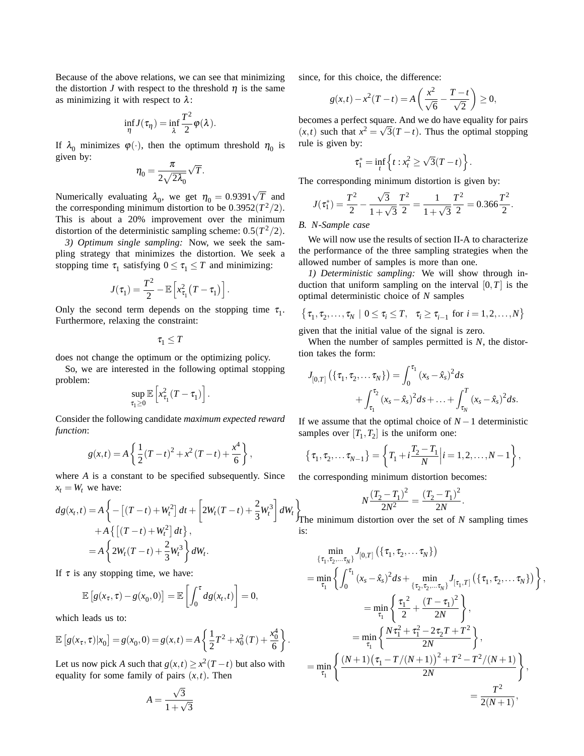Because of the above relations, we can see that minimizing the distortion *J* with respect to the threshold  $\eta$  is the same as minimizing it with respect to  $\lambda$ :

$$
\inf_{\eta} J(\tau_{\eta}) = \inf_{\lambda} \frac{T^2}{2} \varphi(\lambda).
$$

If  $\lambda_0$  minimizes  $\varphi(\cdot)$ , then the optimum threshold  $\eta_0$  is given by:

$$
\eta_0=\frac{\pi}{2\sqrt{2\lambda_0}}\sqrt{T}.
$$

Numerically evaluating  $\lambda_0$ , we get  $\eta_0 = 0.9391\sqrt{T}$  and the corresponding minimum distortion to be  $0.3952(T^2/2)$ . This is about a 20% improvement over the minimum distortion of the deterministic sampling scheme:  $0.5(T^2/2)$ .

*3) Optimum single sampling:* Now, we seek the sampling strategy that minimizes the distortion. We seek a stopping time  $\tau_1$  satisfying  $0 \le \tau_1 \le T$  and minimizing:

$$
J(\tau_1) = \frac{T^2}{2} - \mathbb{E}\left[x_{\tau_1}^2(T-\tau_1)\right].
$$

Only the second term depends on the stopping time  $\tau_1$ . Furthermore, relaxing the constraint:

$$
\tau_1\leq T
$$

does not change the optimum or the optimizing policy.

So, we are interested in the following optimal stopping problem:

$$
\sup_{\tau_1\geq 0}\mathbb{E}\left[x_{\tau_1}^2(T-\tau_1)\right].
$$

Consider the following candidate *maximum expected reward function*:

$$
g(x,t) = A\left\{\frac{1}{2}(T-t)^2 + x^2(T-t) + \frac{x^4}{6}\right\},\,
$$

where *A* is a constant to be specified subsequently. Since  $x_t = W_t$  we have:

$$
dg(x_t, t) = A \left\{ - \left[ (T - t) + W_t^2 \right] dt + \left[ 2W_t(T - t) + \frac{2}{3} W_t^3 \right] dW_t \right\}
$$
  
+  $A \left\{ \left[ (T - t) + W_t^2 \right] dt \right\}$ ,  
=  $A \left\{ 2W_t(T - t) + \frac{2}{3} W_t^3 \right\} dW_t$ .

If  $\tau$  is any stopping time, we have:

$$
\mathbb{E}\left[g(x_{\tau},\tau)-g(x_0,0)\right]=\mathbb{E}\left[\int_0^{\tau}dg(x_t,t)\right]=0,
$$

which leads us to:

$$
\mathbb{E}\left[g(x_{\tau},\tau)|x_0\right] = g(x_0,0) = g(x,t) = A\left\{\frac{1}{2}T^2 + x_0^2(T) + \frac{x_0^4}{6}\right\}.
$$

Let us now pick *A* such that  $g(x,t) \geq x^2(T-t)$  but also with equality for some family of pairs  $(x,t)$ . Then

$$
A = \frac{\sqrt{3}}{1 + \sqrt{3}}
$$

since, for this choice, the difference:

$$
g(x,t) - x^2(T-t) = A\left(\frac{x^2}{\sqrt{6}} - \frac{T-t}{\sqrt{2}}\right) \ge 0,
$$

becomes a perfect square. And we do have equality for pairs  $(x,t)$  such that  $x^2 = \sqrt{3}(T-t)$ . Thus the optimal stopping rule is given by:

$$
\tau_1^* = \inf_t \left\{ t : x_t^2 \ge \sqrt{3}(T-t) \right\}.
$$

The corresponding minimum distortion is given by:

$$
J(\tau_1^*) = \frac{T^2}{2} - \frac{\sqrt{3}}{1 + \sqrt{3}} \frac{T^2}{2} = \frac{1}{1 + \sqrt{3}} \frac{T^2}{2} = 0.366 \frac{T^2}{2}.
$$

# *B. N-Sample case*

We will now use the results of section II-A to characterize the performance of the three sampling strategies when the allowed number of samples is more than one.

*1) Deterministic sampling:* We will show through induction that uniform sampling on the interval  $[0, T]$  is the optimal deterministic choice of *N* samples

$$
\{\tau_1, \tau_2, \ldots, \tau_N \mid 0 \leq \tau_i \leq T, \quad \tau_i \geq \tau_{i-1} \text{ for } i = 1, 2, \ldots, N\}
$$

given that the initial value of the signal is zero.

When the number of samples permitted is *N*, the distortion takes the form:

$$
J_{[0,T]}(\lbrace \tau_{1},\tau_{2},... \tau_{N}\rbrace) = \int_{0}^{\tau_{1}}(x_{s}-\hat{x}_{s})^{2}ds + \int_{\tau_{1}}^{\tau_{2}}(x_{s}-\hat{x}_{s})^{2}ds + ... + \int_{\tau_{N}}^{T}(x_{s}-\hat{x}_{s})^{2}ds.
$$

If we assume that the optimal choice of  $N-1$  deterministic samples over  $[T_1, T_2]$  is the uniform one:

$$
\{\tau_1, \tau_2, \dots \tau_{N-1}\} = \left\{T_1 + i\frac{T_2 - T_1}{N} \middle| i = 1, 2, \dots, N-1\right\},\
$$

the corresponding minimum distortion becomes:

$$
N\frac{(T_2 - T_1)^2}{2N^2} = \frac{(T_2 - T_1)^2}{2N}.
$$

The minimum distortion over the set of *N* sampling times is:

$$
\min_{\{\tau_1, \tau_2, ..., \tau_N\}} J_{[0, T]}(\{\tau_1, \tau_2, ..., \tau_N\})
$$
\n
$$
= \min_{\tau_1} \left\{ \int_0^{\tau_1} (x_s - \hat{x}_s)^2 ds + \min_{\{\tau_2, \tau_2, ..., \tau_N\}} J_{[\tau_1, T]}(\{\tau_1, \tau_2, ..., \tau_N\}) \right\},
$$
\n
$$
= \min_{\tau_1} \left\{ \frac{\tau_1^2}{2} + \frac{(T - \tau_1)^2}{2N} \right\},
$$
\n
$$
= \min_{\tau_1} \left\{ \frac{N\tau_1^2 + \tau_1^2 - 2\tau_2 T + T^2}{2N} \right\},
$$
\n
$$
= \min_{\tau_1} \left\{ \frac{(N+1)(\tau_1 - T/(N+1))^2 + T^2 - T^2/(N+1)}{2N} \right\},
$$
\n
$$
= \frac{T^2}{2(N+1)},
$$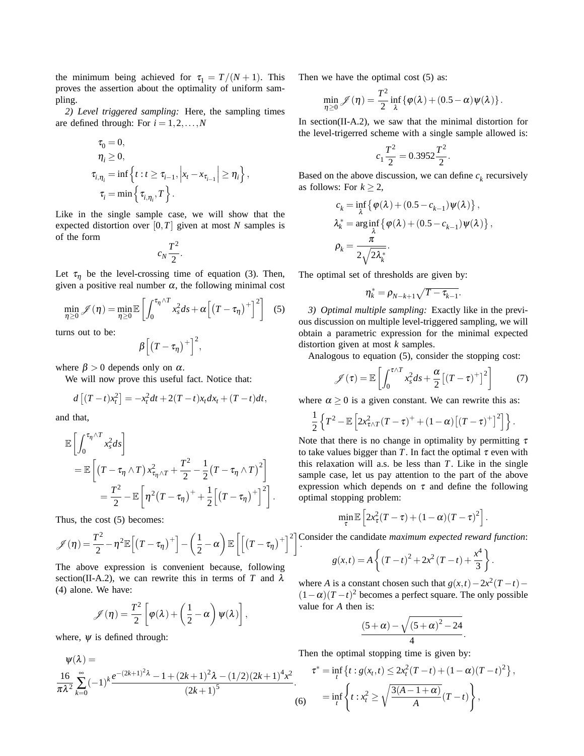the minimum being achieved for  $\tau_1 = T/(N + 1)$ . This proves the assertion about the optimality of uniform sampling.

*2) Level triggered sampling:* Here, the sampling times are defined through: For  $i = 1, 2, \ldots, N$ 

$$
\tau_0 = 0,
$$
  
\n
$$
\eta_i \ge 0,
$$
  
\n
$$
\tau_{i,\eta_i} = \inf \left\{ t : t \ge \tau_{i-1}, \left| x_t - x_{\tau_{i-1}} \right| \ge \eta_i \right\},
$$
  
\n
$$
\tau_i = \min \left\{ \tau_{i,\eta_i}, T \right\}.
$$

Like in the single sample case, we will show that the expected distortion over  $[0, T]$  given at most *N* samples is of the form

$$
c_N \frac{T^2}{2}.
$$

Let  $\tau_{\eta}$  be the level-crossing time of equation (3). Then, given a positive real number  $\alpha$ , the following minimal cost

$$
\min_{\eta \geq 0} \mathcal{J}(\eta) = \min_{\eta \geq 0} \mathbb{E}\left[\int_0^{\tau_\eta \wedge T} x_s^2 ds + \alpha \left[ \left(T - \tau_\eta\right)^+ \right]^2 \right] \quad (5)
$$

turns out to be:

$$
\beta\left[\left(T-\tau_{\eta}\right)^{+}\right]^{2},
$$

where  $\beta > 0$  depends only on  $\alpha$ .

We will now prove this useful fact. Notice that:

$$
d[(T-t)x_t^2] = -x_t^2 dt + 2(T-t)x_t dx_t + (T-t)dt,
$$

and that,

$$
\mathbb{E}\left[\int_0^{\tau_\eta \wedge T} x_s^2 ds\right]
$$
  
= 
$$
\mathbb{E}\left[\left(T - \tau_\eta \wedge T\right) x_{\tau_\eta \wedge T}^2 + \frac{T^2}{2} - \frac{1}{2} \left(T - \tau_\eta \wedge T\right)^2\right]
$$
  
= 
$$
\frac{T^2}{2} - \mathbb{E}\left[\eta^2 \left(T - \tau_\eta\right)^+ + \frac{1}{2}\left[\left(T - \tau_\eta\right)^+\right]^2\right].
$$

Thus, the cost (5) becomes:

$$
\mathscr{J}(\eta) = \frac{T^2}{2} - \eta^2 \mathbb{E}\Big[ (T - \tau_\eta)^+ \Big] - \left(\frac{1}{2} - \alpha\right) \mathbb{E}\left[ \left[ (T - \tau_\eta)^+ \right]^2 \right]
$$

The above expression is convenient because, following section(II-A.2), we can rewrite this in terms of *T* and  $\lambda$ (4) alone. We have:

$$
\mathscr{J}(\eta) = \frac{T^2}{2} \left[ \varphi(\lambda) + \left( \frac{1}{2} - \alpha \right) \psi(\lambda) \right],
$$

where,  $\Psi$  is defined through:

$$
\psi(\lambda) = \frac{16}{\pi\lambda^2 \sum_{k=0}^{\infty} (-1)^k \frac{e^{-(2k+1)^2 \lambda} - 1 + (2k+1)^2 \lambda - (1/2)(2k+1)^4 x^2}{(2k+1)^5}}.
$$
\n(6)

Then we have the optimal cost (5) as:

$$
\min_{\eta \geq 0} \mathscr{J}(\eta) = \frac{T^2}{2} \inf_{\lambda} \{ \varphi(\lambda) + (0.5 - \alpha) \psi(\lambda) \}.
$$

In section(II-A.2), we saw that the minimal distortion for the level-trigerred scheme with a single sample allowed is:

$$
c_1 \frac{T^2}{2} = 0.3952 \frac{T^2}{2}.
$$

Based on the above discussion, we can define  $c_k$  recursively as follows: For  $k \geq 2$ ,

$$
c_k = \inf_{\lambda} \{ \varphi(\lambda) + (0.5 - c_{k-1}) \psi(\lambda) \},
$$
  
\n
$$
\lambda_k^* = \arg \inf_{\lambda} \{ \varphi(\lambda) + (0.5 - c_{k-1}) \psi(\lambda) \},
$$
  
\n
$$
\rho_k = \frac{\pi}{2\sqrt{2\lambda_k^*}}.
$$

The optimal set of thresholds are given by:

$$
\eta_k^* = \rho_{N-k+1} \sqrt{T-\tau_{k-1}}.
$$

*3) Optimal multiple sampling:* Exactly like in the previous discussion on multiple level-triggered sampling, we will obtain a parametric expression for the minimal expected distortion given at most *k* samples.

Analogous to equation (5), consider the stopping cost:

$$
\mathscr{J}(\tau) = \mathbb{E}\left[\int_0^{\tau \wedge T} x_s^2 ds + \frac{\alpha}{2} \left[ (T - \tau)^+ \right]^2 \right] \tag{7}
$$

where  $\alpha > 0$  is a given constant. We can rewrite this as:

$$
\frac{1}{2}\left\{T^2-\mathbb{E}\left[2x_{\tau\wedge T}^2(T-\tau)^++(1-\alpha)\left[(T-\tau)^+\right]^2\right]\right\}.
$$

Note that there is no change in optimality by permitting  $\tau$ to take values bigger than  $T$ . In fact the optimal  $\tau$  even with this relaxation will a.s. be less than *T*. Like in the single sample case, let us pay attention to the part of the above expression which depends on  $\tau$  and define the following optimal stopping problem:

$$
\min_{\tau} \mathbb{E}\left[2x_{\tau}^2(T-\tau)+(1-\alpha)(T-\tau)^2\right].
$$

. Consider the candidate *maximum expected reward function*:

$$
g(x,t) = A\left\{(T-t)^2 + 2x^2(T-t) + \frac{x^4}{3}\right\}.
$$

where *A* is a constant chosen such that  $g(x,t) - 2x^2(T-t)$ −  $(1-\alpha)(T-t)^2$  becomes a perfect square. The only possible value for *A* then is:

$$
\frac{(5+\alpha)-\sqrt{(5+\alpha)^2-24}}{4}.
$$

Then the optimal stopping time is given by:

$$
\tau^* = \inf_t \left\{ t : g(x_t, t) \le 2x_t^2 (T - t) + (1 - \alpha)(T - t)^2 \right\},
$$
  

$$
= \inf_t \left\{ t : x_t^2 \ge \sqrt{\frac{3(A - 1 + \alpha)}{A}} (T - t) \right\},
$$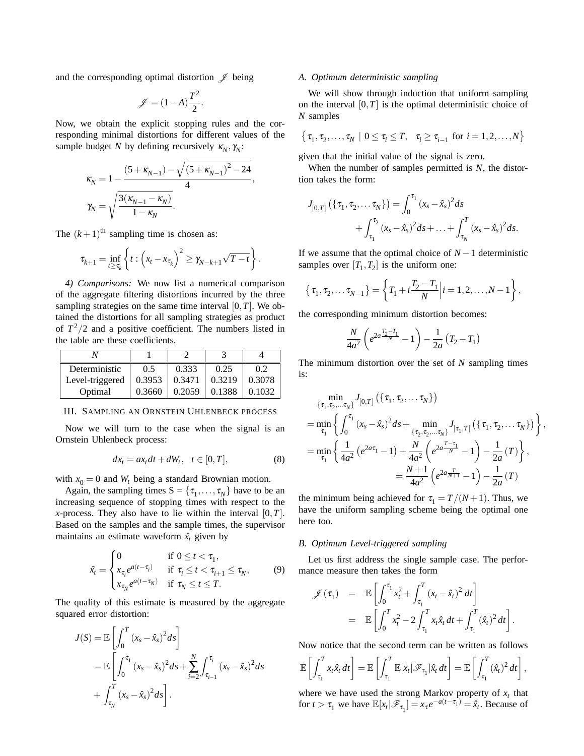and the corresponding optimal distortion  $\mathscr J$  being

$$
\mathscr{J} = (1-A)\frac{T^2}{2}.
$$

Now, we obtain the explicit stopping rules and the corresponding minimal distortions for different values of the sample budget *N* by defining recursively  $\kappa_N$ ,  $\gamma_N$ :

$$
\kappa_N = 1 - \frac{(5 + \kappa_{N-1}) - \sqrt{(5 + \kappa_{N-1})^2 - 24}}{4},
$$
  

$$
\gamma_N = \sqrt{\frac{3(\kappa_{N-1} - \kappa_N)}{1 - \kappa_N}}.
$$

The  $(k+1)$ <sup>th</sup> sampling time is chosen as:

$$
\tau_{k+1} = \inf_{t \geq \tau_k} \left\{ t : \left( x_t - x_{\tau_k} \right)^2 \geq \gamma_{N-k+1} \sqrt{T-t} \right\}.
$$

*4) Comparisons:* We now list a numerical comparison of the aggregate filtering distortions incurred by the three sampling strategies on the same time interval  $[0, T]$ . We obtained the distortions for all sampling strategies as product of  $T^2/2$  and a positive coefficient. The numbers listed in the table are these coefficients.

| Deterministic   | 0.5    | 0.333  | 0.25   |        |
|-----------------|--------|--------|--------|--------|
| Level-triggered | 0.3953 | 0.3471 | 0.3219 | 0.3078 |
| Optimal         | 0.3660 | 0.2059 | 0.1388 | 0.1032 |

III. SAMPLING AN ORNSTEIN UHLENBECK PROCESS

Now we will turn to the case when the signal is an Ornstein Uhlenbeck process:

$$
dx_t = ax_t dt + dW_t, \quad t \in [0, T], \tag{8}
$$

with  $x_0 = 0$  and  $W_t$  being a standard Brownian motion.

Again, the sampling times  $S = \{\tau_1, \ldots, \tau_N\}$  have to be an increasing sequence of stopping times with respect to the *x*-process. They also have to lie within the interval  $[0, T]$ . Based on the samples and the sample times, the supervisor maintains an estimate waveform  $\hat{x}_t$  given by

$$
\hat{x}_t = \begin{cases}\n0 & \text{if } 0 \le t < \tau_1, \\
x_{\tau_i} e^{a(t - \tau_i)} & \text{if } \tau_i \le t < \tau_{i+1} \le \tau_N, \\
x_{\tau_N} e^{a(t - \tau_N)} & \text{if } \tau_N \le t \le T.\n\end{cases}
$$
\n(9)

The quality of this estimate is measured by the aggregate squared error distortion:

$$
J(S) = \mathbb{E}\left[\int_0^T (x_s - \hat{x}_s)^2 ds\right]
$$
  
=  $\mathbb{E}\left[\int_0^{\tau_1} (x_s - \hat{x}_s)^2 ds + \sum_{i=2}^N \int_{\tau_{i-1}}^{\tau_i} (x_s - \hat{x}_s)^2 ds\right]$   
+  $\int_{\tau_N}^T (x_s - \hat{x}_s)^2 ds\right].$ 

# *A. Optimum deterministic sampling*

We will show through induction that uniform sampling on the interval  $[0, T]$  is the optimal deterministic choice of *N* samples

$$
\{\tau_1, \tau_2, \ldots, \tau_N \mid 0 \le \tau_i \le T, \quad \tau_i \ge \tau_{i-1} \text{ for } i = 1, 2, \ldots, N\}
$$

given that the initial value of the signal is zero.

When the number of samples permitted is *N*, the distortion takes the form:

$$
J_{[0,T]}(\lbrace \tau_{1},\tau_{2},... \tau_{N}\rbrace) = \int_{0}^{\tau_{1}} (x_{s} - \hat{x}_{s})^{2} ds + \int_{\tau_{1}}^{\tau_{2}} (x_{s} - \hat{x}_{s})^{2} ds + ... + \int_{\tau_{N}}^{T} (x_{s} - \hat{x}_{s})^{2} ds.
$$

If we assume that the optimal choice of  $N-1$  deterministic samples over  $[T_1, T_2]$  is the uniform one:

$$
\{\tau_1, \tau_2, \dots \tau_{N-1}\} = \left\{T_1 + i\frac{T_2 - T_1}{N} \middle| i = 1, 2, \dots, N-1\right\},\
$$

the corresponding minimum distortion becomes:

$$
\frac{N}{4a^2} \left( e^{2a \frac{T_2 - T_1}{N}} - 1 \right) - \frac{1}{2a} \left( T_2 - T_1 \right)
$$

The minimum distortion over the set of *N* sampling times is:

$$
\begin{split}\n&\min_{\{\tau_{1},\tau_{2},\ldots\tau_{N}\}} J_{[0,T]} \left( \{\tau_{1},\tau_{2},\ldots\tau_{N}\} \right) \\
&= \min_{\tau_{1}} \left\{ \int_{0}^{\tau_{1}} (x_{s} - \hat{x}_{s})^{2} ds + \min_{\{\tau_{2},\tau_{2},\ldots\tau_{N}\}} J_{[\tau_{1},T]} \left( \{\tau_{1},\tau_{2},\ldots\tau_{N}\} \right) \right\}, \\
&= \min_{\tau_{1}} \left\{ \frac{1}{4a^{2}} \left( e^{2a\tau_{1}} - 1 \right) + \frac{N}{4a^{2}} \left( e^{2a\frac{T-\tau_{1}}{N}} - 1 \right) - \frac{1}{2a} \left( T \right) \right\}, \\
&= \frac{N+1}{4a^{2}} \left( e^{2a\frac{T}{N+1}} - 1 \right) - \frac{1}{2a} \left( T \right)\n\end{split}
$$

the minimum being achieved for  $\tau_1 = T/(N+1)$ . Thus, we have the uniform sampling scheme being the optimal one here too.

#### *B. Optimum Level-triggered sampling*

Let us first address the single sample case. The performance measure then takes the form

$$
\mathscr{J}(\tau_1) = \mathbb{E}\left[\int_0^{\tau_1} x_t^2 + \int_{\tau_1}^T (x_t - \hat{x}_t)^2 dt\right]
$$
  
=  $\mathbb{E}\left[\int_0^T x_t^2 - 2 \int_{\tau_1}^T x_t \hat{x}_t dt + \int_{\tau_1}^T (\hat{x}_t)^2 dt\right].$ 

Now notice that the second term can be written as follows

$$
\mathbb{E}\left[\int_{\tau_1}^T x_t \hat{x}_t dt\right] = \mathbb{E}\left[\int_{\tau_1}^T \mathbb{E}[x_t|\mathscr{F}_{\tau_1}]\hat{x}_t dt\right] = \mathbb{E}\left[\int_{\tau_1}^T (\hat{x}_t)^2 dt\right],
$$

where we have used the strong Markov property of  $x_t$  that for  $t > \tau_1$  we have  $\mathbb{E}[x_t | \mathcal{F}_{\tau_1}] = x_\tau e^{-a(t-\tau_1)} = \hat{x}_t$ . Because of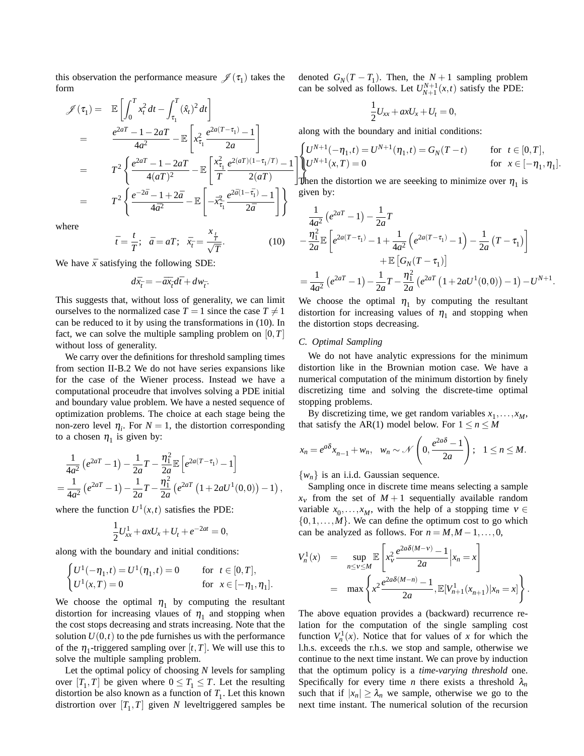this observation the performance measure  $\mathcal{J}(\tau_1)$  takes the form

$$
\mathcal{J}(\tau_1) = \mathbb{E}\left[\int_0^T x_t^2 dt - \int_{\tau_1}^T (\hat{x}_t)^2 dt\right]
$$
  
\n
$$
= \frac{e^{2aT} - 1 - 2aT}{4a^2} - \mathbb{E}\left[x_{\tau_1}^2 \frac{e^{2a(T-\tau_1)} - 1}{2a}\right]
$$
  
\n
$$
= T^2 \left\{\frac{e^{2aT} - 1 - 2aT}{4(aT)^2} - \mathbb{E}\left[\frac{x_{\tau_1}^2}{T} \frac{e^{2(aT)(1-\tau_1/T)} - 1}{2(aT)}\right]
$$
  
\n
$$
= T^2 \left\{\frac{e^{-2\bar{a}} - 1 + 2\bar{a}}{4\bar{a}^2} - \mathbb{E}\left[-\bar{x}_{\tau_1}^2 \frac{e^{2\bar{a}(1-\bar{\tau}_1)} - 1}{2\bar{a}}\right]\right\}
$$

where

$$
\bar{t} = \frac{t}{T}; \quad \bar{a} = aT; \quad \bar{x}_{\bar{t}} = \frac{x_{\bar{t}}}{\sqrt{T}}.
$$
 (10)

We have  $\bar{x}$  satisfying the following SDE:

 $d\bar{x}_{\bar{t}} = -\bar{a}\bar{x}_{\bar{t}}d\bar{t} + dw_{\bar{t}}.$ 

This suggests that, without loss of generality, we can limit ourselves to the normalized case  $T = 1$  since the case  $T \neq 1$ can be reduced to it by using the transformations in (10). In fact, we can solve the multiple sampling problem on [0,*T*] without loss of generality.

We carry over the definitions for threshold sampling times from section II-B.2 We do not have series expansions like for the case of the Wiener process. Instead we have a computational proceudre that involves solving a PDE initial and boundary value problem. We have a nested sequence of optimization problems. The choice at each stage being the non-zero level  $\eta_i$ . For  $N = 1$ , the distortion corresponding to a chosen  $\eta_1$  is given by:

$$
\frac{1}{4a^2} (e^{2aT} - 1) - \frac{1}{2a}T - \frac{\eta_1^2}{2a} \mathbb{E} \left[ e^{2a(T - \tau_1)} - 1 \right]
$$
  
= 
$$
\frac{1}{4a^2} (e^{2aT} - 1) - \frac{1}{2a}T - \frac{\eta_1^2}{2a} (e^{2aT} (1 + 2aU^1(0,0)) - 1),
$$

where the function  $U^1(x,t)$  satisfies the PDE:

$$
\frac{1}{2}U_{xx}^1 + axU_x + U_t + e^{-2at} = 0,
$$

along with the boundary and initial conditions:

$$
\begin{cases} U^1(-\eta_1, t) = U^1(\eta_1, t) = 0 & \text{for } t \in [0, T], \\ U^1(x, T) = 0 & \text{for } x \in [-\eta_1, \eta_1]. \end{cases}
$$

We choose the optimal  $\eta_1$  by computing the resultant distortion for increasing vlaues of  $\eta_1$  and stopping when the cost stops decreasing and strats increasing. Note that the solution  $U(0,t)$  to the pde furnishes us with the performance of the  $\eta_1$ -triggered sampling over [t, T]. We will use this to solve the multiple sampling problem.

Let the optimal policy of choosing *N* levels for sampling over  $[T_1, T]$  be given where  $0 \leq T_1 \leq T$ . Let the resulting distortion be also known as a function of  $T_1$ . Let this known distrortion over  $[T_1, T]$  given *N* leveltriggered samples be

denoted  $G_N(T - T_1)$ . Then, the  $N + 1$  sampling problem can be solved as follows. Let  $U_{N+1}^{N+1}(x,t)$  satisfy the PDE:

$$
\frac{1}{2}U_{xx} + axU_x + U_t = 0,
$$

along with the boundary and initial conditions:

$$
\begin{cases} U^{N+1}(-\eta_1, t) = U^{N+1}(\eta_1, t) = G_N(T-t) & \text{for } t \in [0, T], \\ U^{N+1}(x, T) = 0 & \text{for } x \in [-\eta_1, \eta_1]. \end{cases}
$$

Then the distortion we are seeeking to minimize over  $\eta_1$  is given by:

$$
\frac{1}{4a^2} (e^{2aT} - 1) - \frac{1}{2a}T
$$
\n
$$
- \frac{\eta_1^2}{2a} \mathbb{E} \left[ e^{2a(T - \tau_1)} - 1 + \frac{1}{4a^2} \left( e^{2a(T - \tau_1)} - 1 \right) - \frac{1}{2a} (T - \tau_1) \right]
$$
\n
$$
+ \mathbb{E} \left[ G_N (T - \tau_1) \right]
$$
\n
$$
= \frac{1}{4a^2} (e^{2aT} - 1) - \frac{1}{2a} T - \frac{\eta_1^2}{2a} (e^{2aT} (1 + 2aU^1(0, 0)) - 1) - U^{N+1}.
$$

We choose the optimal  $\eta_1$  by computing the resultant distortion for increasing values of  $\eta_1$  and stopping when the distortion stops decreasing.

### *C. Optimal Sampling*

We do not have analytic expressions for the minimum distortion like in the Brownian motion case. We have a numerical computation of the minimum distortion by finely discretizing time and solving the discrete-time optimal stopping problems.

By discretizing time, we get random variables  $x_1, \ldots, x_M$ , that satisfy the AR(1) model below. For  $1 \le n \le M$ 

$$
x_n = e^{a\delta} x_{n-1} + w_n, \quad w_n \sim \mathcal{N}\left(0, \frac{e^{2a\delta} - 1}{2a}\right); \quad 1 \le n \le M.
$$

 $\{w_n\}$  is an i.i.d. Gaussian sequence.

Sampling once in discrete time means selecting a sample  $x<sub>v</sub>$  from the set of  $M+1$  sequentially available random variable  $x_0, \ldots, x_M$ , with the help of a stopping time  $v \in$  $\{0,1,\ldots,M\}$ . We can define the optimum cost to go which can be analyzed as follows. For  $n = M, M - 1, \ldots, 0$ ,

$$
V_n^1(x) = \sup_{n \le v \le M} \mathbb{E} \left[ x_v^2 \frac{e^{2a\delta(M-v)} - 1}{2a} \Big| x_n = x \right]
$$
  
= 
$$
\max \left\{ x^2 \frac{e^{2a\delta(M-n)} - 1}{2a}, \mathbb{E}[V_{n+1}^1(x_{n+1})|x_n = x] \right\}.
$$

The above equation provides a (backward) recurrence relation for the computation of the single sampling cost function  $V_n^1(x)$ . Notice that for values of *x* for which the l.h.s. exceeds the r.h.s. we stop and sample, otherwise we continue to the next time instant. We can prove by induction that the optimum policy is a *time-varying threshold* one. Specifically for every time *n* there exists a threshold  $\lambda_n$ such that if  $|x_n| \geq \lambda_n$  we sample, otherwise we go to the next time instant. The numerical solution of the recursion